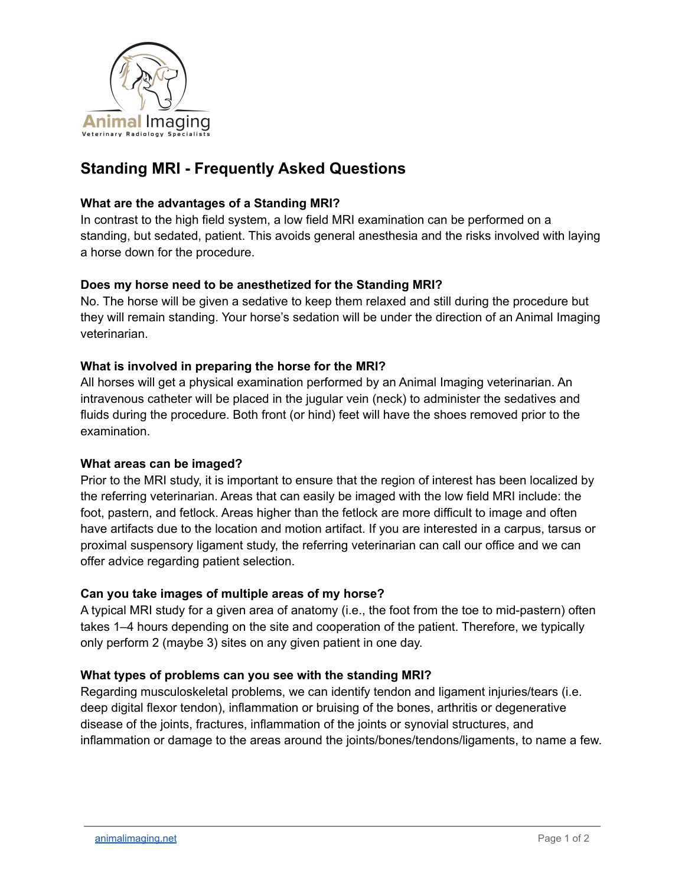

# **Standing MRI - Frequently Asked Questions**

#### **What are the advantages of a Standing MRI?**

In contrast to the high field system, a low field MRI examination can be performed on a standing, but sedated, patient. This avoids general anesthesia and the risks involved with laying a horse down for the procedure.

# **Does my horse need to be anesthetized for the Standing MRI?**

No. The horse will be given a sedative to keep them relaxed and still during the procedure but they will remain standing. Your horse's sedation will be under the direction of an Animal Imaging veterinarian.

#### **What is involved in preparing the horse for the MRI?**

All horses will get a physical examination performed by an Animal Imaging veterinarian. An intravenous catheter will be placed in the jugular vein (neck) to administer the sedatives and fluids during the procedure. Both front (or hind) feet will have the shoes removed prior to the examination.

#### **What areas can be imaged?**

Prior to the MRI study, it is important to ensure that the region of interest has been localized by the referring veterinarian. Areas that can easily be imaged with the low field MRI include: the foot, pastern, and fetlock. Areas higher than the fetlock are more difficult to image and often have artifacts due to the location and motion artifact. If you are interested in a carpus, tarsus or proximal suspensory ligament study, the referring veterinarian can call our office and we can offer advice regarding patient selection.

# **Can you take images of multiple areas of my horse?**

A typical MRI study for a given area of anatomy (i.e., the foot from the toe to mid-pastern) often takes 1–4 hours depending on the site and cooperation of the patient. Therefore, we typically only perform 2 (maybe 3) sites on any given patient in one day.

#### **What types of problems can you see with the standing MRI?**

Regarding musculoskeletal problems, we can identify tendon and ligament injuries/tears (i.e. deep digital flexor tendon), inflammation or bruising of the bones, arthritis or degenerative disease of the joints, fractures, inflammation of the joints or synovial structures, and inflammation or damage to the areas around the joints/bones/tendons/ligaments, to name a few.